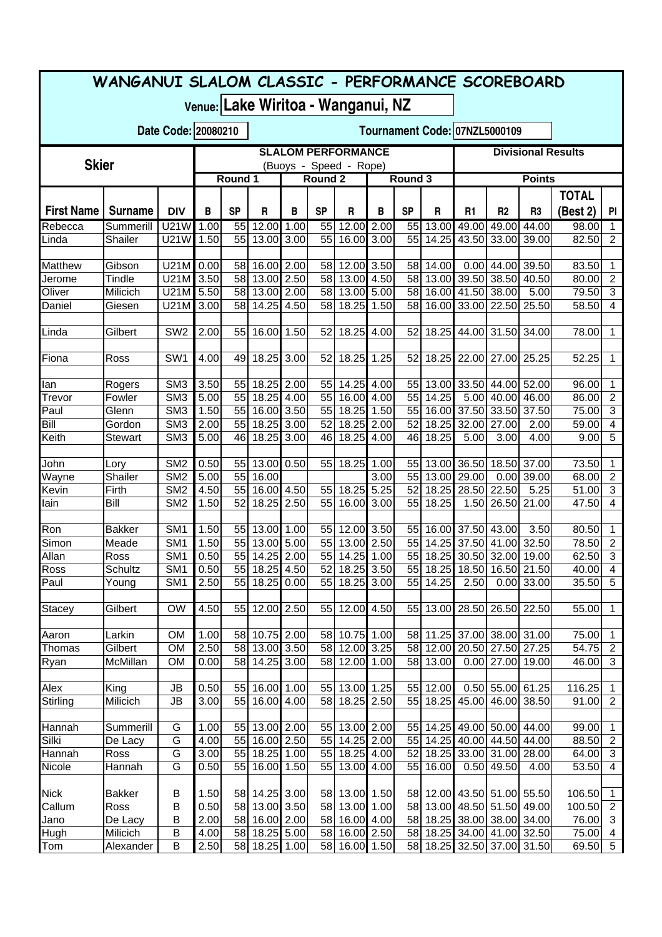| WANGANUI SLALOM CLASSIC - PERFORMANCE SCOREBOARD |                                                     |                                    |                                                      |                               |                             |      |           |                                       |                           |               |                            |                                        |                |                                                          |                |                                  |
|--------------------------------------------------|-----------------------------------------------------|------------------------------------|------------------------------------------------------|-------------------------------|-----------------------------|------|-----------|---------------------------------------|---------------------------|---------------|----------------------------|----------------------------------------|----------------|----------------------------------------------------------|----------------|----------------------------------|
|                                                  |                                                     |                                    |                                                      |                               |                             |      |           | Venue: Lake Wiritoa - Wanganui, NZ    |                           |               |                            |                                        |                |                                                          |                |                                  |
|                                                  |                                                     |                                    | Date Code: 20080210<br>Tournament Code: 07NZL5000109 |                               |                             |      |           |                                       |                           |               |                            |                                        |                |                                                          |                |                                  |
| <b>Skier</b>                                     | <b>SLALOM PERFORMANCE</b><br>(Buoys - Speed - Rope) |                                    |                                                      |                               |                             |      |           |                                       | <b>Divisional Results</b> |               |                            |                                        |                |                                                          |                |                                  |
|                                                  |                                                     |                                    |                                                      | Round 3<br>Round 1<br>Round 2 |                             |      |           |                                       |                           | <b>Points</b> |                            |                                        |                |                                                          |                |                                  |
|                                                  |                                                     |                                    |                                                      |                               |                             |      |           |                                       |                           |               |                            |                                        |                |                                                          | <b>TOTAL</b>   |                                  |
| <b>First Name</b>                                | <b>Surname</b>                                      | <b>DIV</b>                         | B                                                    | <b>SP</b>                     | R                           | В    | <b>SP</b> | R                                     | B                         | <b>SP</b>     | R                          | R1                                     | R <sub>2</sub> | R <sub>3</sub>                                           | (Best 2)       | PI                               |
| Rebecca                                          | Summerill                                           | <b>U21W</b>                        | 1.00                                                 | 55                            | 12.00                       | 1.00 | 55        | 12.00 2.00                            |                           | 55            | 13.00                      | 49.00                                  | 49.00          | 44.00                                                    | 98.00          | 1                                |
| Linda                                            | Shailer                                             | U21W                               | 1.50                                                 | 55                            | 13.00                       | 3.00 | 55        | 16.00 3.00                            |                           | 55            | 14.25                      |                                        | 43.50 33.00    | 39.00                                                    | 82.50          | $\overline{2}$                   |
|                                                  |                                                     |                                    |                                                      |                               |                             |      |           |                                       |                           |               |                            |                                        |                |                                                          |                |                                  |
| Matthew                                          | Gibson                                              | U21M                               | 0.00                                                 | 58<br>58                      | 16.00 2.00                  |      | 58<br>58  | 12.00 3.50                            |                           | 58<br>58      | 14.00                      |                                        | $0.00$ 44.00   | 39.50<br>40.50                                           | 83.50          | 1                                |
| Jerome<br>Oliver                                 | Tindle<br>Milicich                                  | U21M<br>U21M                       | 3.50<br>5.50                                         | 58                            | 13.00 2.50<br>13.00 2.00    |      | 58        | 13.00 4.50<br>13.00 5.00              |                           | 58            |                            | 13.00 39.50 38.50<br>16.00 41.50 38.00 |                | 5.00                                                     | 80.00<br>79.50 | $\sqrt{2}$<br>$\mathbf{3}$       |
| Daniel                                           | Giesen                                              | U21M                               | 3.00                                                 | 58                            | 14.25                       | 4.50 | 58        | 18.25                                 | 1.50                      | 58            |                            | 16.00 33.00 22.50                      |                | 25.50                                                    | 58.50          | $\overline{4}$                   |
|                                                  |                                                     |                                    |                                                      |                               |                             |      |           |                                       |                           |               |                            |                                        |                |                                                          |                |                                  |
| Linda                                            | Gilbert                                             | $\overline{\text{SW2}}$            | 2.00                                                 | 55                            | 16.00                       | 1.50 | 52        | 18.25                                 | 4.00                      | 52            | 18.25                      |                                        | 44.00 31.50    | 34.00                                                    | 78.00          | $\mathbf{1}$                     |
|                                                  |                                                     |                                    |                                                      |                               |                             |      |           |                                       |                           |               |                            |                                        |                |                                                          |                |                                  |
| Fiona                                            | Ross                                                | SW <sub>1</sub>                    | 4.00                                                 | 49                            | 18.25                       | 3.00 | 52        | 18.25                                 | 1.25                      | 52            | 18.25                      |                                        | 22.00 27.00    | 25.25                                                    | 52.25          | 1                                |
|                                                  |                                                     |                                    |                                                      |                               |                             |      |           |                                       |                           |               |                            |                                        |                |                                                          |                |                                  |
| lan                                              | Rogers                                              | SM <sub>3</sub><br>SM <sub>3</sub> | 3.50                                                 | 55<br>55                      | 18.25 2.00<br>18.25 4.00    |      | 55<br>55  | 14.25 4.00<br>16.00 4.00              |                           | 55<br>55      | 13.00<br>14.25             |                                        | 33.50 44.00    | 52.00<br>46.00                                           | 96.00          | 1                                |
| Trevor<br>Paul                                   | Fowler<br>Glenn                                     | SM <sub>3</sub>                    | 5.00<br>1.50                                         | 55                            | 16.00 3.50                  |      | 55        | 18.25 1.50                            |                           | 55            |                            | 16.00 37.50 33.50                      | 5.00 40.00     | 37.50                                                    | 86.00<br>75.00 | $\sqrt{2}$<br>$\mathbf{3}$       |
| Bill                                             | Gordon                                              | SM <sub>3</sub>                    | 2.00                                                 | 55                            | $18.25$ 3.00                |      | 52        | 18.25 2.00                            |                           | 52            | 18.25                      | 32.00 27.00                            |                | 2.00                                                     | 59.00          | $\overline{4}$                   |
| Keith                                            | <b>Stewart</b>                                      | SM <sub>3</sub>                    | 5.00                                                 | 46                            | 18.25                       | 3.00 | 46        | 18.25 4.00                            |                           | 46            | 18.25                      | 5.00                                   | 3.00           | 4.00                                                     | 9.00           | 5                                |
|                                                  |                                                     |                                    |                                                      |                               |                             |      |           |                                       |                           |               |                            |                                        |                |                                                          |                |                                  |
| John                                             | Lory                                                | SM <sub>2</sub>                    | 0.50                                                 | 55                            | 13.00 0.50                  |      | 55        | 18.25                                 | 1.00                      |               | 55 13.00 36.50 18.50       |                                        |                | 37.00                                                    | 73.50          | $\mathbf{1}$                     |
| Wayne                                            | Shailer                                             | SM <sub>2</sub>                    | 5.00                                                 | 55                            | 16.00                       |      |           |                                       | 3.00                      |               | 55 13.00 29.00             |                                        | 0.00           | 39.00                                                    | 68.00          | $\overline{2}$                   |
| Kevin                                            | Firth                                               | SM <sub>2</sub>                    | 4.50                                                 | 55                            | 16.00 4.50                  |      | 55<br>55  | 18.25 5.25                            |                           | 52            |                            | 18.25 28.50 22.50                      |                | 5.25                                                     | 51.00          | $\mathbf{3}$                     |
| lain                                             | Bill                                                | SM <sub>2</sub>                    | 1.50                                                 | 52                            | 18.25                       | 2.50 |           | 16.00 3.00                            |                           | 55            | 18.25                      |                                        | 1.50 26.50     | 21.00                                                    | 47.50          | 4                                |
| Ron                                              | <b>Bakker</b>                                       | SM <sub>1</sub>                    | 1.50                                                 | 55                            | 13.00 1.00                  |      |           | 55 12.00 3.50                         |                           | 55            |                            | 16.00 37.50 43.00                      |                | 3.50                                                     | 80.50          | 1                                |
| Simon                                            | Meade                                               | SM <sub>1</sub>                    | 1.50                                                 | 55                            | 13.00 5.00                  |      |           | 55 13.00 2.50                         |                           |               | 55 14.25 37.50 41.00       |                                        |                | 32.50                                                    | 78.50          | $\overline{2}$                   |
| Allan                                            | Ross                                                | SM <sub>1</sub>                    | 0.50                                                 |                               | 55 14.25 2.00               |      |           | 55 14.25 1.00                         |                           |               | 55 18.25 30.50 32.00 19.00 |                                        |                |                                                          | 62.50          | $\sqrt{3}$                       |
| Ross                                             | Schultz                                             | SM <sub>1</sub>                    | 0.50                                                 |                               | 55 18.25 4.50               |      |           | 52 18.25 3.50                         |                           |               |                            |                                        |                | 55 18.25 18.50 16.50 21.50                               | 40.00          | $\overline{4}$                   |
| Paul                                             | Young                                               | SM <sub>1</sub>                    | 2.50                                                 | 55                            | 18.25 0.00                  |      |           | 55 18.25 3.00                         |                           |               | 55 14.25                   | 2.50                                   | 0.00           | 33.00                                                    | 35.50          | 5                                |
|                                                  |                                                     |                                    |                                                      |                               |                             |      |           |                                       |                           |               |                            |                                        |                |                                                          |                |                                  |
| <b>Stacey</b>                                    | Gilbert                                             | <b>OW</b>                          | 4.50                                                 | 55                            | 12.00 2.50                  |      | 55        | 12.00 4.50                            |                           | 55            |                            | 13.00 28.50 26.50                      |                | 22.50                                                    | 55.00          | 1                                |
| Aaron                                            | Larkin                                              | <b>OM</b>                          | 1.00                                                 | 58                            | $10.75$ $2.00$              |      | 58        | 10.75 1.00                            |                           |               | 58 11.25                   |                                        | 37.00 38.00    | 31.00                                                    | 75.00          | $\mathbf 1$                      |
| Thomas                                           | Gilbert                                             | <b>OM</b>                          | 2.50                                                 | 58                            | 13.00 3.50                  |      |           | 58 12.00 3.25                         |                           |               | 58 12.00 20.50 27.50       |                                        |                | 27.25                                                    | 54.75          | $\overline{2}$                   |
| Ryan                                             | McMillan                                            | <b>OM</b>                          | 0.00                                                 | 58                            | 14.25 3.00                  |      | 58        | 12.00 1.00                            |                           | 58            | 13.00                      |                                        | $0.00$ 27.00   | 19.00                                                    | 46.00          | $\mathbf{3}$                     |
|                                                  |                                                     |                                    |                                                      |                               |                             |      |           |                                       |                           |               |                            |                                        |                |                                                          |                |                                  |
| Alex                                             | King                                                | <b>JB</b>                          | 0.50                                                 | 55                            | 16.00 1.00                  |      | 55        | 13.00 1.25                            |                           | 55            | 12.00                      |                                        | $0.50$ 55.00   | 61.25                                                    | 116.25         | 1                                |
| Stirling                                         | Milicich                                            | <b>JB</b>                          | 3.00                                                 | 55                            | 16.00 4.00                  |      | 58        | 18.25 2.50                            |                           | 55            |                            | 18.25 45.00 46.00                      |                | 38.50                                                    | 91.00          | $\overline{2}$                   |
|                                                  |                                                     |                                    |                                                      |                               |                             |      |           |                                       |                           |               |                            |                                        |                |                                                          |                |                                  |
| Hannah<br>Silki                                  | Summerill<br>De Lacy                                | G<br>G                             | 1.00<br>4.00                                         | 55<br>55                      | 13.00 2.00<br>16.00 2.50    |      | 55<br>55  | 13.00 2.00<br>$\overline{14.25}$ 2.00 |                           | 55<br>55      |                            | 14.25 49.00 50.00<br>14.25 40.00 44.50 |                | 44.00<br>44.00                                           | 99.00<br>88.50 | 1<br>$\overline{2}$              |
| Hannah                                           | Ross                                                | G                                  | 3.00                                                 | 55                            | 18.25 1.00                  |      | 55        | 18.25 4.00                            |                           | 52            |                            | 18.25 33.00 31.00                      |                | 28.00                                                    | 64.00          | $\mathbf{3}$                     |
| Nicole                                           | Hannah                                              | G                                  | 0.50                                                 | 55                            | 16.00 1.50                  |      | 55        | 13.00 4.00                            |                           | 55            | 16.00                      |                                        | 0.50 49.50     | 4.00                                                     | 53.50          | $\overline{4}$                   |
|                                                  |                                                     |                                    |                                                      |                               |                             |      |           |                                       |                           |               |                            |                                        |                |                                                          |                |                                  |
| <b>Nick</b>                                      | <b>Bakker</b>                                       | B                                  | 1.50                                                 | 58                            | 14.25 3.00                  |      | 58        | 13.00 1.50                            |                           |               |                            |                                        |                | 58 12.00 43.50 51.00 55.50                               | 106.50         | $\mathbf{1}$                     |
| Callum                                           | Ross                                                | B                                  | 0.50                                                 | 58                            | 13.00 3.50                  |      | 58        | 13.00 1.00                            |                           | 58            |                            | 13.00 48.50 51.50                      |                | 49.00                                                    | 100.50         | $\overline{2}$                   |
| Jano                                             | De Lacy                                             | B                                  | 2.00                                                 | 58                            | 16.00 2.00                  |      | 58        | 16.00 4.00                            |                           | 58            |                            |                                        |                | 18.25 38.00 38.00 34.00                                  | 76.00          | $\sqrt{3}$                       |
| Hugh<br>Tom                                      | Milicich<br>Alexander                               | B<br>B                             | 4.00<br>2.50                                         | 58                            | 18.25 5.00<br>58 18.25 1.00 |      |           | 58 16.00 2.50<br>58 16.00 1.50        |                           |               |                            |                                        |                | 58 18.25 34.00 41.00 32.50<br>58 18.25 32.50 37.00 31.50 | 75.00<br>69.50 | $\overline{4}$<br>$\overline{5}$ |
|                                                  |                                                     |                                    |                                                      |                               |                             |      |           |                                       |                           |               |                            |                                        |                |                                                          |                |                                  |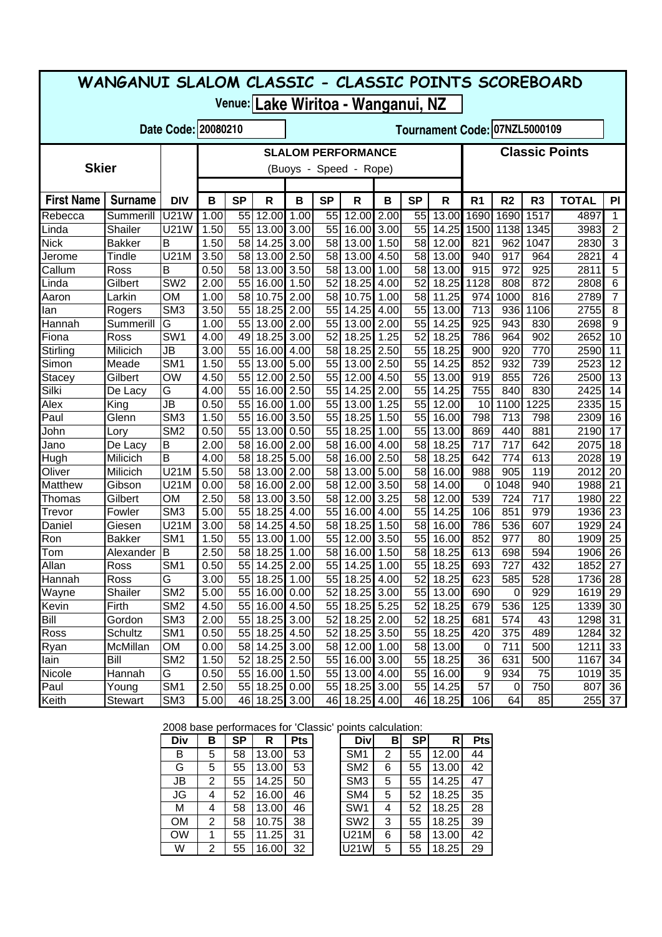| WANGANUI SLALOM CLASSIC - CLASSIC POINTS SCOREBOARD  |                     |                              |                        |                                                    |                |              |           |                          |      |           |                |                  |                |                |              |                |
|------------------------------------------------------|---------------------|------------------------------|------------------------|----------------------------------------------------|----------------|--------------|-----------|--------------------------|------|-----------|----------------|------------------|----------------|----------------|--------------|----------------|
| Venue: Lake Wiritoa - Wanganui, NZ                   |                     |                              |                        |                                                    |                |              |           |                          |      |           |                |                  |                |                |              |                |
| Date Code: 20080210<br>Tournament Code: 07NZL5000109 |                     |                              |                        |                                                    |                |              |           |                          |      |           |                |                  |                |                |              |                |
|                                                      |                     |                              |                        | <b>Classic Points</b><br><b>SLALOM PERFORMANCE</b> |                |              |           |                          |      |           |                |                  |                |                |              |                |
| <b>Skier</b>                                         |                     |                              | (Buoys - Speed - Rope) |                                                    |                |              |           |                          |      |           |                |                  |                |                |              |                |
| <b>First Name</b>                                    | <b>Surname</b>      | <b>DIV</b>                   | B                      | <b>SP</b>                                          | R              | B            | <b>SP</b> | $\mathsf{R}$             | B    | <b>SP</b> | R              | R <sub>1</sub>   | R <sub>2</sub> | R <sub>3</sub> | <b>TOTAL</b> | PI             |
| Rebecca                                              | Summerill           | U21W                         | 1.00                   | 55                                                 | 12.00          | 1.00         | 55        | 12.00 2.00               |      | 55        | 13.00          | 1690             | 1690           | 1517           | 4897         | 1              |
| Linda                                                | Shailer             | <b>U21W</b>                  | 1.50                   | 55                                                 | 13.00          | 3.00         | 55        | 16.00 3.00               |      | 55        | 14.25          | 1500             | 1138           | 1345           | 3983         | $\overline{2}$ |
| <b>Nick</b>                                          | <b>Bakker</b>       | B                            | 1.50                   | 58                                                 | 14.25          | 3.00         | 58        | 13.00 1.50               |      | 58        | 12.00          | 821              | 962            | 1047           | 2830         | 3              |
| Jerome                                               | Tindle              | U21M                         | 3.50                   | 58                                                 | 13.00          | 2.50         | 58        | 13.00 4.50               |      | 58        | 13.00          | 940              | 917            | 964            | 2821         | 4              |
| Callum                                               | Ross                | B                            | 0.50                   | 58                                                 | 13.00          | 3.50         | 58        | 13.00 1.00               |      | 58        | 13.00          | 915              | 972            | 925            | 2811         | 5              |
| Linda                                                | Gilbert             | SW <sub>2</sub>              | 2.00                   | 55                                                 | 16.00          | 1.50         | 52        | 18.25 4.00               |      | 52        | 18.25          | 1128             | 808            | 872            | 2808         | 6              |
| Aaron                                                | Larkin              | <b>OM</b><br>SM <sub>3</sub> | 1.00<br>3.50           | 58<br>55                                           | 10.75<br>18.25 | 2.00<br>2.00 | 58<br>55  | 10.75 1.00<br>14.25 4.00 |      | 58<br>55  | 11.25<br>13.00 | 974<br>713       | 1000<br>936    | 816<br>1106    | 2789<br>2755 | 7<br>8         |
| lan<br>Hannah                                        | Rogers<br>Summerill | G                            | 1.00                   | 55                                                 | 13.00          | 2.00         | 55        | 13.00 2.00               |      | 55        | 14.25          | 925              | 943            | 830            | 2698         | 9              |
| Fiona                                                | Ross                | SW <sub>1</sub>              | 4.00                   | 49                                                 | 18.25          | 3.00         | 52        | 18.25 1.25               |      | 52        | 18.25          | 786              | 964            | 902            | 2652         | 10             |
| Stirling                                             | Milicich            | <b>JB</b>                    | 3.00                   | 55                                                 | 16.00          | 4.00         | 58        | 18.25 2.50               |      | 55        | 18.25          | 900              | 920            | 770            | 2590         | 11             |
| Simon                                                | Meade               | SM <sub>1</sub>              | 1.50                   | 55                                                 | 13.00          | 5.00         | 55        | 13.00 2.50               |      | 55        | 14.25          | 852              | 932            | 739            | 2523         | 12             |
| <b>Stacey</b>                                        | Gilbert             | <b>OW</b>                    | 4.50                   | 55                                                 | 12.00          | 2.50         | 55        | 12.00 4.50               |      | 55        | 13.00          | 919              | 855            | 726            | 2500         | 13             |
| Silki                                                | De Lacy             | G                            | 4.00                   | 55                                                 | 16.00          | 2.50         | 55        | 14.25 2.00               |      | 55        | 14.25          | 755              | 840            | 830            | 2425         | 14             |
| Alex                                                 | King                | <b>JB</b>                    | 0.50                   | 55                                                 | 16.00          | 1.00         | 55        | 13.00 1.25               |      | 55        | 12.00          | 10               | 1100           | 1225           | 2335         | 15             |
| Paul                                                 | Glenn               | SM <sub>3</sub>              | 1.50                   | 55                                                 | 16.00          | 3.50         | 55        | 18.25 1.50               |      | 55        | 16.00          | 798              | 713            | 798            | 2309         | 16             |
| John                                                 | Lory                | SM <sub>2</sub>              | 0.50                   | 55                                                 | 13.00          | 0.50         | 55        | 18.25 1.00               |      | 55        | 13.00          | 869              | 440            | 881            | 2190         | 17             |
| Jano                                                 | De Lacy             | B                            | 2.00                   | 58                                                 | 16.00          | 2.00         | 58        | 16.00 4.00               |      | 58        | 18.25          | 717              | 717            | 642            | 2075         | 18             |
| Hugh                                                 | Milicich            | B                            | 4.00                   | 58                                                 | 18.25          | 5.00         | 58        | 16.00 2.50               |      | 58        | 18.25          | 642              | 774            | 613            | 2028         | 19             |
| Oliver                                               | Milicich            | U21M                         | 5.50                   | 58                                                 | 13.00          | 2.00         | 58        | 13.00 5.00               |      | 58        | 16.00          | 988              | 905            | 119            | 2012         | 20             |
| Matthew                                              | Gibson              | U21M                         | 0.00                   | 58                                                 | 16.00          | 2.00         | 58<br>58  | 12.00 3.50               |      | 58        | 14.00          | 0                | 1048           | 940            | 1988         | 21             |
| Thomas<br>Trevor                                     | Gilbert<br>Fowler   | <b>OM</b><br>SM <sub>3</sub> | 2.50<br>5.00           | 58<br>55                                           | 13.00<br>18.25 | 3.50<br>4.00 | 55        | 12.00 3.25<br>16.00 4.00 |      | 58<br>55  | 12.00<br>14.25 | 539<br>106       | 724<br>851     | 717<br>979     | 1980<br>1936 | 22<br>23       |
| Daniel                                               | Giesen              | U21M                         | 3.00                   | 58                                                 | 14.25          | 4.50         | 58        | 18.25                    | 1.50 | 58        | 16.00          | 786              | 536            | 607            | 1929         | 24             |
| Ron                                                  | <b>Bakker</b>       | SM <sub>1</sub>              | 1.50                   | 55                                                 | 13.00          | 1.00         | 55        | 12.00 3.50               |      | 55        | 16.00          | 852              | 977            | 80             | 1909         | 25             |
| Tom                                                  | Alexander           | B                            | 2.50                   | 58                                                 | 18.25          | 1.00         | 58        | 16.00 1.50               |      | 58        | 18.25          | 613              | 698            | 594            | 1906         | 26             |
| Allan                                                | Ross                | SM <sub>1</sub>              | 0.50                   |                                                    | 55 14.25 2.00  |              | 55        | 14.25 1.00               |      |           | 55 18.25       | 693              | 727            | 432            | $1852$ 27    |                |
| Hannah                                               | Ross                | G                            | 3.00                   |                                                    | 55 18.25 1.00  |              |           | 55 18.25 4.00            |      |           | 52 18.25       | 623              | 585            | 528            | 1736 28      |                |
| Wayne                                                | Shailer             | SM <sub>2</sub>              | 5.00                   |                                                    | 55 16.00 0.00  |              | 52        | 18.25 3.00               |      |           | 55 13.00       | 690              | $\overline{0}$ | 929            | 1619 29      |                |
| Kevin                                                | Firth               | SM <sub>2</sub>              | 4.50                   |                                                    | 55 16.00 4.50  |              |           | 55 18.25 5.25            |      |           | 52 18.25       | 679              | 536            | 125            | 1339 30      |                |
| <b>Bill</b>                                          | Gordon              | SM <sub>3</sub>              | 2.00                   |                                                    | 55 18.25 3.00  |              | 52        | 18.25 2.00               |      |           | 52 18.25       | 681              | 574            | 43             | 1298 31      |                |
| <b>Ross</b>                                          | Schultz             | SM <sub>1</sub>              | 0.50                   |                                                    | 55 18.25 4.50  |              | 52        | 18.25 3.50               |      |           | 55 18.25       | 420              | 375            | 489            | 1284 32      |                |
| Ryan                                                 | McMillan            | OM                           | 0.00                   |                                                    | 58 14.25 3.00  |              | 58        | 12.00 1.00               |      |           | 58 13.00       | $\overline{0}$   | 711            | 500            | 1211 33      |                |
| lain                                                 | Bill                | SM <sub>2</sub>              | 1.50                   |                                                    | 52 18.25 2.50  |              |           | 55 16.00 3.00            |      |           | 55 18.25       | 36               | 631            | 500            | 1167 34      |                |
| Nicole                                               | Hannah              | G                            | 0.50                   |                                                    | 55 16.00 1.50  |              |           | 55 13.00 4.00            |      |           | 55 16.00       | $\boldsymbol{9}$ | 934            | 75             | 1019 35      |                |
| Paul                                                 | Young               | SM <sub>1</sub>              | 2.50                   |                                                    | 55 18.25 0.00  |              |           | 55 18.25 3.00            |      |           | 55 14.25       | 57               | $\pmb{0}$      | 750            | 807 36       |                |
| Keith                                                | Stewart             | SM <sub>3</sub>              | 5.00                   |                                                    | 46 18.25 3.00  |              |           | 46 18.25 4.00            |      |           | 46 18.25       | 106              | 64             | 85             | 255 37       |                |

## 2008 base performaces for 'Classic' points calculation:

| Div       | в | <b>SP</b> | R     | <b>Pts</b> | <b>Div</b>      | в | SP | RI    | Pts |
|-----------|---|-----------|-------|------------|-----------------|---|----|-------|-----|
| в         | 5 | 58        | 13.00 | 53         | SM <sub>1</sub> | 2 | 55 | 12.00 | 44  |
| G         | 5 | 55        | 13.00 | 53         | SM <sub>2</sub> | 6 | 55 | 13.00 | 42  |
| JB        | 2 | 55        | 14.25 | 50         | SM <sub>3</sub> | 5 | 55 | 14.25 | 47  |
| <b>JG</b> | 4 | 52        | 16.00 | 46         | SM4             | 5 | 52 | 18.25 | 35  |
| М         | 4 | 58        | 13.00 | 46         | SW <sub>1</sub> | 4 | 52 | 18.25 | 28  |
| <b>OM</b> | 2 | 58        | 10.75 | 38         | SW <sub>2</sub> | 3 | 55 | 18.25 | 39  |
| <b>OW</b> | 1 | 55        | 11.25 | 31         | <b>U21M</b>     | 6 | 58 | 13.00 | 42  |
| W         | 2 | 55        | 16.00 | 32         | U21W            | 5 | 55 | 18.25 | 29  |